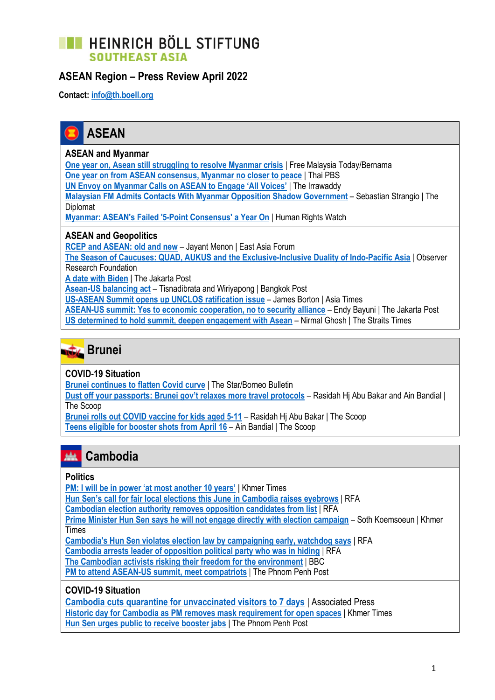## **TE HEINRICH BÖLL STIFTUNG SOUTHEAST ASIA**

## **ASEAN Region – Press Review April 2022**

**Contact: [info@th.boell.org](mailto:info@th.boell.org?subject=Political%20overview%20ASEAN)**



#### **ASEAN and Myanmar**

**[One year on, Asean still struggling to resolve Myanmar crisis](https://www.freemalaysiatoday.com/category/nation/2022/04/24/one-year-on-asean-still-struggling-to-resolve-myanmar-crisis/)** | Free Malaysia Today/Bernama **[One year on from ASEAN consensus, Myanmar no closer to peace](https://www.thaipbsworld.com/one-year-on-from-asean-consensus-myanmar-no-closer-to-peace/)** | Thai PBS **[UN Envoy on Myanmar Calls on ASEAN to Engage 'All Voices'](https://www.irrawaddy.com/news/burma/un-envoy-on-myanmar-calls-on-asean-to-engage-all-voices.html)** | The Irrawaddy

**[Malaysian FM Admits Contacts With Myanmar Opposition Shadow Government](Malaysian%20FM%20Admits%20Contacts%20With%20Myanmar%20Opposition%20Shadow%20Government)** – Sebastian Strangio | The Diplomat

**[Myanmar: ASEAN's Failed '5-Point Consensus' a Year On](https://www.hrw.org/news/2022/04/22/myanmar-aseans-failed-5-point-consensus-year)** | Human Rights Watch

#### **ASEAN and Geopolitics**

**[RCEP and ASEAN: old and new](https://www.eastasiaforum.org/2022/04/26/rcep-and-asean-old-and-new/)** – Jayant Menon | East Asia Forum

**[The Season of Caucuses: QUAD, AUKUS and the Exclusive-Inclusive Duality of Indo-Pacific Asia](https://www.orfonline.org/expert-speak/season-of-caucuses/)** | Observer Research Foundation

**[A date with Biden](https://www.thejakartapost.com/opinion/2022/04/20/a-date-with-biden.html)** | The Jakarta Post

**[Asean-US balancing act](https://www.bangkokpost.com/business/2299782/asean-us-balancing-act)** – Tisnadibrata and Wiriyapong | Bangkok Post

**[US-ASEAN Summit opens up UNCLOS ratification issue](https://asiatimes.com/2022/04/us-asean-summit-opens-up-unclos-ratification-issue/)** – James Borton | Asia Times

**[ASEAN-US summit: Yes to economic cooperation, no to security alliance](https://asianews.network/asean-us-summit-yes-to-economic-cooperation-no-to-security-alliance/)** – Endy Bayuni | The Jakarta Post **[US determined to hold summit, deepen engagement with Asean](https://www.straitstimes.com/asia/se-asia/us-determined-to-hold-summit-deepen-engagement-with-asean)** – Nirmal Ghosh | The Straits Times



#### **COVID-19 Situation**

**[Brunei continues to flatten Covid curve](https://www.thestar.com.my/aseanplus/aseanplus-news/2022/04/20/brunei-continues-to-flatten-covid-curve)** | The Star/Borneo Bulletin

**[Dust off your passports: Brunei gov't relaxes more travel protocols](https://thescoop.co/2022/04/23/dust-off-your-passports-brunei-govt-relaxes-more-travel-protocols/)** – Rasidah Hj Abu Bakar and Ain Bandial | The Scoop

**[Brunei rolls out COVID vaccine for kids aged 5-11](https://thescoop.co/2022/04/03/brunei-rolls-out-covid-vaccine-for-kids-aged-5-11/)** – Rasidah Hj Abu Bakar | The Scoop **[Teens eligible for booster shots from April 16](https://thescoop.co/2022/04/11/teens-eligible-for-booster-shots-from-april-16/)** – Ain Bandial | The Scoop

#### **Cambodia** 藏

#### **Politics**

**[PM: I will be in power 'at most another 10 years'](https://www.khmertimeskh.com/501065782/pm-i-will-be-in-power-at-most-another-10-years/)** | Khmer Times

**[Hun Sen's call for fair local elections this June in Cambodia raises eyebrows](https://www.rfa.org/english/news/cambodia/nonviolence-04202022174328.html)** | RFA

**[Cambodian election authority removes opposition candidates from list](https://www.rfa.org/english/news/cambodia/candidate-list-04012022165721.html)** | RFA

**[Prime Minister Hun Sen says he will not engage directly with election campaign](https://www.khmertimeskh.com/501060565/prime-minister-hun-sen-says-he-will-not-engage-directly-with-election-campaign/)** – Soth Koemsoeun | Khmer Times

**[Cambodia's Hun Sen violates election law by campaigning early, watchdog says](https://www.rfa.org/english/news/cambodia/elections-04062022215409.html)** | RFA

**[Cambodia arrests leader of opposition political party who was in hiding](https://www.rfa.org/english/news/cambodia/seam-pluk-04282022191024.html)** | RFA

**[The Cambodian activists risking their freedom for the environment](https://www.bbc.com/news/world-asia-60343129)** | BBC

**[PM to attend ASEAN-US summit, meet compatriots](https://www.phnompenhpost.com/national-politics/pm-attend-asean-us-summit-meet-compatriots)** | The Phnom Penh Post

#### **COVID-19 Situation**

**[Cambodia cuts quarantine for unvaccinated visitors to 7 days](https://apnews.com/article/covid-health-travel-lifestyle-pandemics-c5f69236782146955e0bddce7f2f78c4)** | Associated Press **[Historic day for Cambodia as PM removes mask requirement for open spaces](https://www.khmertimeskh.com/501064074/historic-day-for-cambodia-as-pm-removes-mask-requirement-for-open-spaces/)** | Khmer Times **[Hun Sen urges public to receive booster jabs](https://www.phnompenhpost.com/national/hun-sen-urges-public-receive-booster-jabs)** | The Phnom Penh Post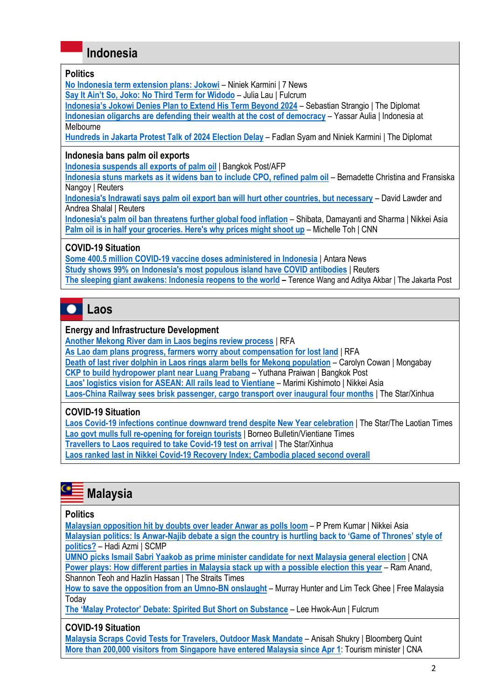## **Indonesia**

#### **Politics**

**[No Indonesia term extension plans: Jokowi](https://7news.com.au/politics/no-indonesia-term-extension-plans-jokowi-c-6405550)** – Niniek Karmini | 7 News

**[Say It Ain't So, Joko: No Third Term for Widodo](https://fulcrum.sg/say-it-aint-so-joko-no-third-term-for-widodo/)** – Julia Lau | Fulcrum

**Indonesia's Jokowi Denies P[lan to Extend His Term Beyond 2024](https://thediplomat.com/2022/04/indonesias-jokowi-denies-plan-to-extend-his-term-beyond-2024/)** – Sebastian Strangio | The Diplomat **[Indonesian oligarchs are defending their wealth at](https://indonesiaatmelbourne.unimelb.edu.au/indonesian-oligarchs-are-defending-their-wealth-at-the-cost-of-democracy/) the cost of democracy** – Yassar Aulia | Indonesia at Melbourne

**[Hundreds in Jakarta Protest Talk of 2024 Election Delay](https://thediplomat.com/2022/04/hundreds-in-jakarta-protest-talk-of-2024-election-delay/)** – Fadlan Syam and Niniek Karmini | The Diplomat

#### **Indonesia bans palm oil exports**

**[Indonesia suspends all exports of palm oil](https://www.bangkokpost.com/business/2301854/indonesia-suspends-all-exports-of-palm-oil)** | Bangkok Post/AFP

**[Indonesia stuns markets as it widens ban to include CPO, refined palm oil](https://www.reuters.com/world/asia-pacific/indonesias-palm-oil-industry-braces-upcoming-export-ban-2022-04-27/)** – Bernadette Christina and Fransiska Nangoy | Reuters

**[Indonesia's Indrawati says palm oil export ban will hurt other countries, but necessary](https://www.reuters.com/business/energy/indonesias-indrawati-says-palm-oil-export-ban-will-hurt-other-countries-2022-04-22/)** – David Lawder and Andrea Shalal | Reuters

**[Indonesia's palm oil ban threatens further global food inflation](https://asia.nikkei.com/Business/Markets/Commodities/Indonesia-s-palm-oil-ban-threatens-further-global-food-inflation)** – Shibata, Damayanti and Sharma | Nikkei Asia **[Palm oil is in half your groceries. Here's why prices might shoot up](https://edition.cnn.com/2022/04/26/business/palm-oil-indonesia-export-ban-explainer-intl-hnk/index.html)** – Michelle Toh | CNN

#### **COVID-19 Situation**

**[Some 400.5 million COVID-19 vaccine doses administered in Indonesia](https://en.antaranews.com/news/227373/some-4005-million-covid-19-vaccine-doses-administered-in-indonesia)** | Antara News **[Study shows 99% on Indonesia's most populous island have COVID antibodies](https://www.reuters.com/world/asia-pacific/study-shows-99-indonesias-most-populous-island-have-covid-antibodies-2022-04-18/)** | Reuters **[The sleeping giant awakens: Indonesia reopens to the world](https://www.thejakartapost.com/opinion/2022/04/18/the-sleeping-giant-awakens-indonesia-reopens-to-the-world.html) –** Terence Wang and Aditya Akbar | The Jakarta Post

# **Laos**

#### **Energy and Infrastructure Development**

**[Another Mekong River dam in Laos begins review process](https://www.rfa.org/english/news/laos/phou-ngoy-dam-04272022184005.html)** | RFA

**[As Lao dam plans progress, farmers worry about compensation for lost land](https://www.rfa.org/english/news/laos/mekong-dams-04132022102145.html)** | RFA

**[Death of last river dolphin in Laos rings alarm bells for Mekong population](https://news.mongabay.com/2022/04/death-of-last-river-dolphin-in-laos-rings-alarm-bells-for-mekong-population/)** – Carolyn Cowan | Mongabay

**[CKP to build hydropower plant near Luang Prabang](https://www.bangkokpost.com/business/2293330/ckp-to-build-hydropower-plant-near-luang-prabang)** – Yuthana Praiwan | Bangkok Post

**[Laos' logistics vision for ASEAN: All rails lead to Vientiane](https://asia.nikkei.com/Business/Transportation/Laos-logistics-vision-for-ASEAN-All-rails-lead-to-Vientiane)** – Marimi Kishimoto | Nikkei Asia

**[Laos-China Railway sees brisk passenger, cargo transport over inaugural four months](https://www.thestar.com.my/aseanplus/aseanplus-news/2022/04/04/laos-china-railway-sees-brisk-passenger-cargo-transport-over-inaugural-four-months)** | The Star/Xinhua

#### **COVID-19 Situation**

**[Laos Covid-19 infections continue downward trend despite New Year celebration](https://www.thestar.com.my/aseanplus/aseanplus-news/2022/04/26/laos-covid-19-infections-continue-downward-trend-despite-new-year-celebration)** | The Star/The Laotian Times **[Lao govt mulls full re-opening for foreign tourists](https://borneobulletin.com.bn/lao-govt-mulls-full-re-opening-for-foreign-tourists/)** | Borneo Bulletin/Vientiane Times **[Travellers to Laos required to take Covid-19 test on arrival](https://www.thestar.com.my/aseanplus/aseanplus-news/2022/04/24/travellers-to-laos-required-to-take-covid-19-test-on-arrival)** | The Star/Xinhua **[Laos ranked last in Nikkei Covid-19 Recovery Index; Cambodia placed second overall](https://www.thestar.com.my/aseanplus/aseanplus-news/2022/04/11/laos-ranked-last-in-nikkei-covid-19-recovery-index-cambodia-placed-second-overall)**

# **Malaysia**

#### **Politics**

**[Malaysian opposition hit by doubts over leader Anwar as polls loom](https://asia.nikkei.com/Politics/Malaysian-opposition-hit-by-doubts-over-leader-Anwar-as-polls-loom)** – P Prem Kumar | Nikkei Asia **Malaysian politics: Is Anwar-[Najib debate a sign the country is hurtling back to 'Game of Thrones' style of](https://www.scmp.com/week-asia/politics/article/3175071/malaysian-politics-anwar-najib-debate-sign-country-hurtling-back)  [politics?](https://www.scmp.com/week-asia/politics/article/3175071/malaysian-politics-anwar-najib-debate-sign-country-hurtling-back)** – Hadi Azmi | SCMP

**[UMNO picks Ismail Sabri Yaakob as prime minister candidate for next Malaysia general election](https://www.channelnewsasia.com/asia/malaysia-umno-ismail-sabri-yaakob-prime-minister-candidate-ge15-2626711)** | CNA

**[Power plays: How different parties in Malaysia stack up with a possible election this year](https://www.straitstimes.com/asia/se-asia/power-plays-how-different-parties-in-malaysia-stack-up-with-a-possible-election-this-year)** – Ram Anand, Shannon Teoh and Hazlin Hassan | The Straits Times

**[How to save the opposition from an Umno-BN onslaught](https://www.freemalaysiatoday.com/category/opinion/2022/04/26/how-to-save-the-opposition-from-an-umno-bn-onslaught/)** – Murray Hunter and Lim Teck Ghee | Free Malaysia **Todav** 

**[The 'Malay Protector' Debate: Spirited But Short on Substance](https://fulcrum.sg/the-malay-protector-debate-spirited-but-short-on-substance/)** – Lee Hwok-Aun | Fulcrum

#### **COVID-19 Situation**

**[Malaysia Scraps Covid Tests for Travelers, Outdoor Mask Mandate](https://www.bloombergquint.com/onweb/malaysia-scraps-covid-tests-for-travelers-outdoor-mask-mandate)** – Anisah Shukry | Bloomberg Quint **[More than 200,000 visitors from Singapore have entered Malaysia since Apr 1](https://www.channelnewsasia.com/asia/singapore-malaysia-200-000-visitors-border-reopening-covid-19-2648786)**: Tourism minister | CNA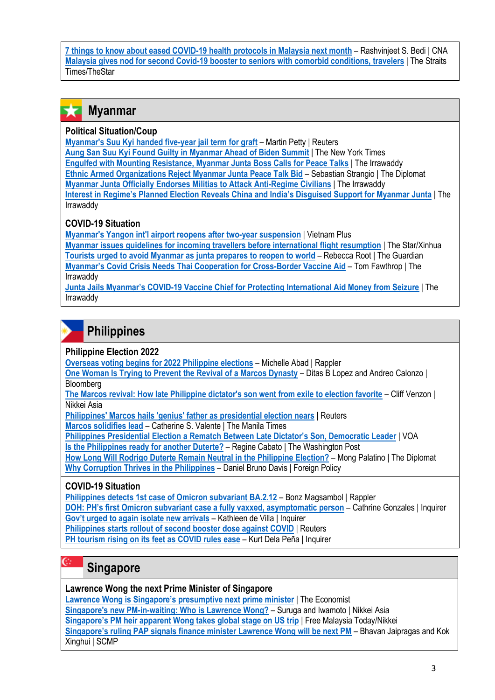**[7 things to know about eased COVID-19 health protocols in Malaysia next month](https://www.channelnewsasia.com/asia/malaysia-7-things-eased-covid19-protocols-may-1-2652736)** – Rashvinjeet S. Bedi | CNA **[Malaysia gives nod for second Covid-19 booster to seniors with comorbid conditions, travelers](https://www.straitstimes.com/asia/se-asia/malaysia-gives-nod-for-second-covid-19-booster-to-seniors-with-comorbid-conditions-travellers)** | The Straits Times/TheStar

#### **Myanmar**  x

#### **Political Situation/Coup**

**[Myanmar's Suu Kyi handed five-year jail term for graft](https://www.reuters.com/world/asia-pacific/myanmars-suu-kyi-handed-5-year-jail-term-corruption-2022-04-27/)** – Martin Petty | Reuters

**[Aung San Suu Kyi Found Guilty in Myanmar Ahead of Biden Summit](https://www.nytimes.com/2022/04/27/world/asia/myanmar-coup-trial-aung-san-suu-kyi.html)** | The New York Times **[Engulfed with Mounting Resistance, Myanmar Junta Boss Calls for Peace Talks](https://www.irrawaddy.com/news/burma/engulfed-with-mounting-resistance-myanmar-junta-boss-calls-for-peace-talks.html)** | The Irrawaddy **[Ethnic Armed Organizations Reject Myanmar Junta Peace Talk Bid](https://thediplomat.com/2022/04/ethnic-armed-organizations-reject-myanmar-junta-peace-talk-bid/)** – Sebastian Strangio | The Diplomat **[Myanmar Junta Officially Endorses Militias to Attack Anti-Regime Civilians](https://www.irrawaddy.com/news/burma/myanmar-junta-officially-endorses-militias-to-attack-anti-regime-civilians.html)** | The Irrawaddy **[Interest in Regime's Planned Election Reveals China and India's Disguised Support for Myanmar Junta](https://www.irrawaddy.com/news/burma/interest-in-regimes-planned-election-reveals-china-and-indias-disguised-support-for-myanmar-junta.html)** | The Irrawaddy

### **COVID-19 Situation**

**[Myanmar's Yangon int'l airport reopens after two-year suspension](https://en.vietnamplus.vn/myanmars-yangon-intl-airport-reopens-after-twoyear-suspension/225169.vnp)** | Vietnam Plus **[Myanmar issues guidelines for incoming travellers before international flight resumption](https://www.thestar.com.my/aseanplus/aseanplus-news/2022/04/11/myanmar-issues-guidelines-for-incoming-travellers-before-international-flight-resumption)** | The Star/Xinhua **[Tourists urged to avoid Myanmar as junta prepares to reopen to world](https://www.theguardian.com/world/2022/apr/04/everything-is-not-ok-here-tourists-urged-to-avoid-myanmar-as-junta-prepares-to-reopen-to-world#:~:text=Foreign%20tourists%20have%20been%20urged,food%20shortages%20and%20regular%20blackouts.)** – Rebecca Root | The Guardian **[Myanmar's Covid Crisis Needs Thai Cooperation for Cross](https://www.irrawaddy.com/opinion/analysis/myanmars-covid-crisis-needs-thai-cooperation-for-cross-border-vaccine-aid.html)-Border Vaccine Aid** – Tom Fawthrop | The Irrawaddy

**Junta Jails Myanmar's COVID[-19 Vaccine Chief for Protecting International Aid Money from Seizure](https://www.irrawaddy.com/news/burma/junta-jails-myanmars-covid-19-vaccine-chief-for-protecting-international-aid-money-from-seizure.html)** | The Irrawaddy

# **Philippines**

#### **Philippine Election 2022**

**[Overseas voting begins for 2022 Philippine elections](https://www.rappler.com/nation/elections/overseas-voting-begins-2022-philippine-polls/)** – Michelle Abad | Rappler

**[One Woman Is Trying to Prevent the Revival of a Marcos Dynasty](https://www.bloomberg.com/news/articles/2022-04-28/one-woman-stands-in-way-of-a-marcos-revival-in-the-philippines)** – Ditas B Lopez and Andreo Calonzo | **Bloomberg** 

**[The Marcos revival: How late Philippine dictator's son went from exile to election favorite](https://asia.nikkei.com/Spotlight/The-Big-Story/The-Marcos-revival-How-late-Philippine-dictator-s-son-went-from-exile-to-election-favorite)** – Cliff Venzon | Nikkei Asia

**[Philippines' Marcos hails 'genius' father as presidential election nears](https://www.reuters.com/world/asia-pacific/philippines-marcos-hails-genius-father-presidential-election-nears-2022-04-26/)** | Reuters

**[Marcos solidifies lead](https://www.manilatimes.net/2022/04/28/news/national/marcos-solidifies-lead/1841559)** – Catherine S. Valente | The Manila Times

**[Philippines Presidential Election a Rematch Between Late Dictator's Son, Democratic Leader](https://www.voanews.com/a/philippines-presidential-election-a-rematch-between-late-dictator-s-son-democratic-leader/6543717.html)** | VOA

**[Is the Philippines ready for another Duterte?](https://www.washingtonpost.com/world/2022/04/27/sara-duterte-philippines-presidential-election/)** – Regine Cabato | The Washington Post

**[How Long Will Rodrigo Duterte Remain Neutral in the Philippine Election?](https://thediplomat.com/2022/04/how-long-will-rodrigo-duterte-remain-neutral-in-the-philippine-election/)** – Mong Palatino | The Diplomat **[Why Corruption Thrives in the Philippines](https://www.cfr.org/blog/philippines-election-critical-moment-philippine-democracy)** – Daniel Bruno Davis | Foreign Policy

### **COVID-19 Situation**

**[Philippines detects 1st case of Omicron subvariant BA.2.12](https://www.rappler.com/nation/philippines-detects-omicron-subvariant-ba-2-12-april-27-2022/)** – Bonz Magsambol | Rappler

**[DOH: PH's first Omicron subvariant case a fully vaxxed, asymptomatic person](https://newsinfo.inquirer.net/1588876/doh-phs-first-omicron-subvariant-case-a-fully-vaxxed-asymptomatic-person)** – Cathrine Gonzales | Inquirer

**[Gov't urged to again isolate new arrivals](https://newsinfo.inquirer.net/1589685/govt-urged-to-again-isolate-new-arrivals)** – Kathleen de Villa | Inquirer

**[Philippines starts rollout of second booster dose against COVID](https://www.reuters.com/world/asia-pacific/philippines-starts-rollout-second-booster-dose-against-covid-2022-04-25/)** | Reuters

**[PH tourism rising on its feet as COVID rules ease](https://newsinfo.inquirer.net/1586541/ph-tourism-rising-on-its-feet-as-covid-rules-ease)** – Kurt Dela Peña | Inquirer

## **Singapore**

 $e_{\mathbb{C}}$ 

### **Lawrence Wong the next Prime Minister of Singapore**

**[Lawrence Wong is Singapore's presumptive next prime minister](https://www.economist.com/asia/2022/04/23/lawrence-wong-is-singapores-presumptive-next-prime-minister)** | The Economist **[Singapore's new PM-in-waiting: Who is Lawrence Wong?](https://asia.nikkei.com/Politics/Singapore-s-new-PM-in-waiting-Who-is-Lawrence-Wong)** – Suruga and Iwamoto | Nikkei Asia **[Singapore's PM heir apparent Wong takes global stage on US trip](https://www.freemalaysiatoday.com/category/world/2022/04/26/singapores-pm-heir-apparent-wong-takes-global-stage-on-us-trip)** | Free Malaysia Today/Nikkei **[Singapore's ruling PAP signals finance minister Lawrence Wong will be next PM](https://www.scmp.com/week-asia/article/3174293/singapores-ruling-pap-signals-finance-minister-lawrence-wong-will-be-next)** – Bhavan Jaipragas and Kok Xinghui | SCMP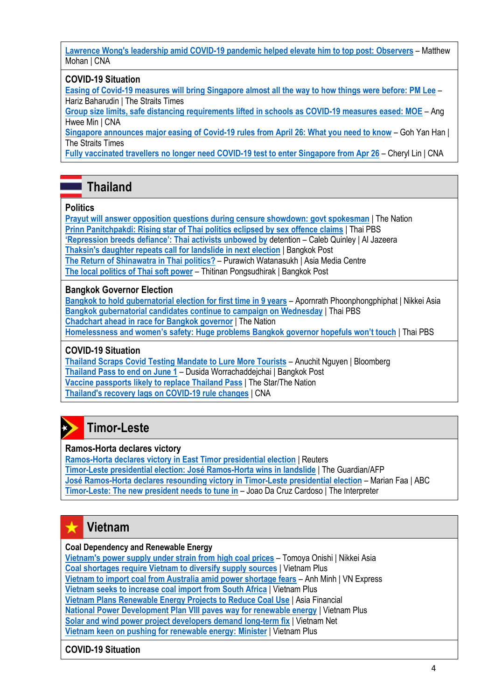**[Lawrence Wong's leadership amid COVID-19 pandemic helped elevate him to top post: Observers](https://www.channelnewsasia.com/singapore/lawrence-wong-4g-leader-analysts-2626466)** – Matthew Mohan | CNA

#### **COVID-19 Situation**

**[Easing of Covid-19 measures will bring Singapore almost all the way to how things were before: PM Lee](https://www.straitstimes.com/singapore/easing-of-covid-19-measures-will-bring-singapore-almost-all-the-way-to-how-things-were-before-pm-lee)** – Hariz Baharudin | The Straits Times

**[Group size limits, safe distancing requirements lifted in schools as COVID-19 measures eased: MOE](https://www.channelnewsasia.com/singapore/safe-management-measures-school-ihl-relaxed-april-26-2648736)** – Ang Hwee Min | CNA

**[Singapore announces major easing of Covid-19 rules from April 26: What you need to know](https://www.straitstimes.com/singapore/singapore-announces-major-easing-of-covid-19-rules-from-april-26-what-you-need-to-know)** – Goh Yan Han | The Straits Times

**[Fully vaccinated travellers no longer need COVID-19 test to enter Singapore from Apr 26](https://www.channelnewsasia.com/singapore/covid-19-fully-vaccinated-no-need-pre-departure-tests-enter-singapore-2641161)** – Cheryl Lin | CNA

## **Thailand**

#### **Politics**

**[Prayut will answer opposition questions during censure showdown: govt spokesman](https://www.nationthailand.com/in-focus/40014969)** | The Nation **[Prinn Panitchpakdi: Rising star of Thai politics eclipsed by sex offence claims](https://www.thaipbsworld.com/prinn-panitchpakdi-rising-star-of-thai-politics-eclipsed-by-sex-offence-claims/)** | Thai PBS **['Repression breeds defiance': Thai activists unbowed by](https://www.aljazeera.com/news/2022/4/7/repression-breeds-defiance-thai-activists-unbowed-by-detention)** detention – Caleb Quinley | Al Jazeera **[Thaksin's daughter repeats call for landslide in next election](https://www.bangkokpost.com/thailand/politics/2299578/thaksins-daughter-repeats-call-for-landslide-in-next-election)** | Bangkok Post **[The Return of Shinawatra in Thai politics?](https://www.asiamediacentre.org.nz/features/the-return-of-shinawatra-in-thai-politics/)** – Purawich Watanasukh | Asia Media Centre **[The local politics of Thai soft power](https://www.bangkokpost.com/opinion/opinion/2302082/the-local-politics-of-thai-soft-power)** – Thitinan Pongsudhirak | Bangkok Post

#### **Bangkok Governor Election**

**[Bangkok to hold gubernatorial election for first time in 9 years](https://asia.nikkei.com/Politics/Bangkok-to-hold-gubernatorial-election-for-first-time-in-9-years)** – Apornrath Phoonphongphiphat | Nikkei Asia **[Bangkok gubernatorial candidates continue to campaign on Wednesday](https://www.thaipbsworld.com/bangkok-gubernatorial-candidates-continue-to-campaign-on-wednesday/)** | Thai PBS **[Chadchart ahead in race for Bangkok governor](https://www.nationthailand.com/in-focus/40014973)** | The Nation **[Homelessness and women's safety: Huge problems Bangkok governor hopefuls won't touch](https://www.thaipbsworld.com/homelessness-and-womens-safety-huge-problems-bangkok-governor-hopefuls-wont-touch/)** | Thai PBS

#### **COVID-19 Situation**

**[Thailand Scraps Covid Testing Mandate to Lure More Tourists](https://www.bloomberg.com/news/articles/2022-04-22/thailand-set-to-ease-covid-testing-rules-to-lure-more-tourists)** – Anuchit Nguyen | Bloomberg **[Thailand Pass to end on June 1](https://www.bangkokpost.com/business/2301714/thailand-pass-to-end-on-june-1)** – Dusida Worrachaddejchai | Bangkok Post **[Vaccine passports likely to replace Thailand Pass](https://www.thestar.com.my/aseanplus/aseanplus-news/2022/04/27/vaccine-passports-likely-to-replace-thailand-pass)** | The Star/The Nation **[Thailand's recovery lags on COVID-19 rule changes](https://www.channelnewsasia.com/asia/thailands-recovery-lags-covid-19-rule-changes-2654616)** | CNA

## **Timor-Leste**

#### **Ramos-Horta declares victory**

**[Ramos-Horta declares victory in East Timor presidential election](https://www.reuters.com/world/asia-pacific/ramos-horta-declares-victory-east-timor-presidential-election-2022-04-21/)** | Reuters **[Timor-Leste presidential election: José Ramos-Horta](https://www.theguardian.com/world/2022/apr/21/timor-leste-presidential-election-jose-ramos-horta-wins-in-landslide) wins in landslide** | The Guardian/AFP **[José Ramos-Horta declares resounding victory in Timor-Leste presidential election](José%20Ramos-Horta%20declares%20resounding%20victory%20in%20Timor-Leste%20presidential%20election)** – Marian Faa | ABC **[Timor-Leste: The new president needs to tune in](https://www.lowyinstitute.org/the-interpreter/timor-leste-new-president-needs-tune)** – Joao Da Cruz Cardoso | The Interpreter

#### **Vietnam** ★

#### **Coal Dependency and Renewable Energy**

**[Vietnam's power supply under strain from high coal prices](https://asia.nikkei.com/Business/Energy/Vietnam-s-power-supply-under-strain-from-high-coal-prices)** – Tomoya Onishi | Nikkei Asia **[Coal shortages require Vietnam to diversify supply sources](https://en.vietnamplus.vn/coal-shortages-require-vietnam-to-diversify-supply-sources/225348.vnp)** | Vietnam Plus **[Vietnam to import coal from Australia amid power shortage fears](https://e.vnexpress.net/news/economy/vietnam-to-import-coal-from-australia-amid-power-shortage-fears-4446631.html)** – Anh Minh | VN Express **[Vietnam seeks to increase coal import from South Africa](https://en.vietnamplus.vn/vietnam-seeks-to-increase-coal-import-from-south-africa/225093.vnp)** | Vietnam Plus **[Vietnam Plans Renewable Energy Projects to Reduce Coal Use](https://www.asiafinancial.com/vietnam-plans-renewable-energy-projects-to-reduce-coal-use)** | Asia Financial **[National Power Development Plan VIII paves way for renewable energy](https://en.vietnamplus.vn/national-power-development-plan-viii-paves-way-for-renewable-energy/227626.vnp)** | Vietnam Plus **[Solar and wind power project developers demand long-term fix](https://vietnamnet.vn/en/solar-and-wind-power-project-developers-demand-long-term-fix-2010779.html)** | Vietnam Net

**[Vietnam keen on pushing for renewable energy: Minister](https://en.vietnamplus.vn/vietnam-keen-on-pushing-for-renewable-energy-minister/224759.vnp)** | Vietnam Plus

#### **COVID-19 Situation**